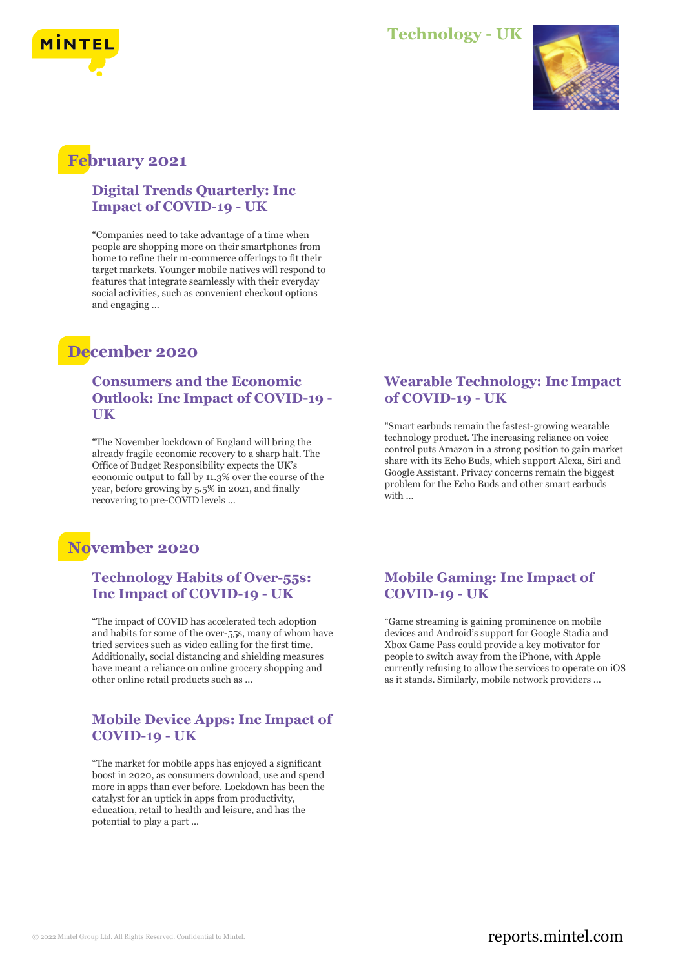



## **February 2021**

#### **Digital Trends Quarterly: Inc Impact of COVID-19 - UK**

"Companies need to take advantage of a time when people are shopping more on their smartphones from home to refine their m-commerce offerings to fit their target markets. Younger mobile natives will respond to features that integrate seamlessly with their everyday social activities, such as convenient checkout options and engaging ...

## **December 2020**

#### **Consumers and the Economic Outlook: Inc Impact of COVID-19 - UK**

"The November lockdown of England will bring the already fragile economic recovery to a sharp halt. The Office of Budget Responsibility expects the UK's economic output to fall by 11.3% over the course of the year, before growing by 5.5% in 2021, and finally recovering to pre-COVID levels ...

## **November 2020**

### **Technology Habits of Over-55s: Inc Impact of COVID-19 - UK**

"The impact of COVID has accelerated tech adoption and habits for some of the over-55s, many of whom have tried services such as video calling for the first time. Additionally, social distancing and shielding measures have meant a reliance on online grocery shopping and other online retail products such as ...

### **Mobile Device Apps: Inc Impact of COVID-19 - UK**

"The market for mobile apps has enjoyed a significant boost in 2020, as consumers download, use and spend more in apps than ever before. Lockdown has been the catalyst for an uptick in apps from productivity, education, retail to health and leisure, and has the potential to play a part ...

#### **Wearable Technology: Inc Impact of COVID-19 - UK**

"Smart earbuds remain the fastest-growing wearable technology product. The increasing reliance on voice control puts Amazon in a strong position to gain market share with its Echo Buds, which support Alexa, Siri and Google Assistant. Privacy concerns remain the biggest problem for the Echo Buds and other smart earbuds with ...

### **Mobile Gaming: Inc Impact of COVID-19 - UK**

"Game streaming is gaining prominence on mobile devices and Android's support for Google Stadia and Xbox Game Pass could provide a key motivator for people to switch away from the iPhone, with Apple currently refusing to allow the services to operate on iOS as it stands. Similarly, mobile network providers ...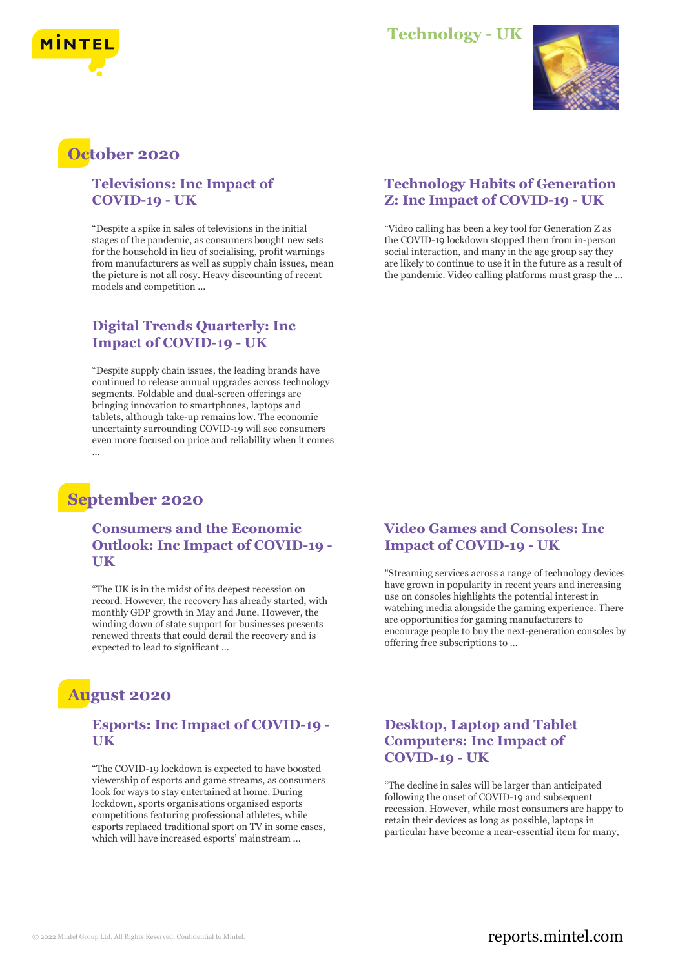



## **October 2020**

#### **Televisions: Inc Impact of COVID-19 - UK**

"Despite a spike in sales of televisions in the initial stages of the pandemic, as consumers bought new sets for the household in lieu of socialising, profit warnings from manufacturers as well as supply chain issues, mean the picture is not all rosy. Heavy discounting of recent models and competition ...

### **Digital Trends Quarterly: Inc Impact of COVID-19 - UK**

"Despite supply chain issues, the leading brands have continued to release annual upgrades across technology segments. Foldable and dual-screen offerings are bringing innovation to smartphones, laptops and tablets, although take-up remains low. The economic uncertainty surrounding COVID-19 will see consumers even more focused on price and reliability when it comes ...

## **September 2020**

#### **Consumers and the Economic Outlook: Inc Impact of COVID-19 - UK**

"The UK is in the midst of its deepest recession on record. However, the recovery has already started, with monthly GDP growth in May and June. However, the winding down of state support for businesses presents renewed threats that could derail the recovery and is expected to lead to significant ...

## **August 2020**

#### **Esports: Inc Impact of COVID-19 - UK**

"The COVID-19 lockdown is expected to have boosted viewership of esports and game streams, as consumers look for ways to stay entertained at home. During lockdown, sports organisations organised esports competitions featuring professional athletes, while esports replaced traditional sport on TV in some cases, which will have increased esports' mainstream ...

### **Technology Habits of Generation Z: Inc Impact of COVID-19 - UK**

"Video calling has been a key tool for Generation Z as the COVID-19 lockdown stopped them from in-person social interaction, and many in the age group say they are likely to continue to use it in the future as a result of the pandemic. Video calling platforms must grasp the ...

#### **Video Games and Consoles: Inc Impact of COVID-19 - UK**

"Streaming services across a range of technology devices have grown in popularity in recent years and increasing use on consoles highlights the potential interest in watching media alongside the gaming experience. There are opportunities for gaming manufacturers to encourage people to buy the next-generation consoles by offering free subscriptions to ...

### **Desktop, Laptop and Tablet Computers: Inc Impact of COVID-19 - UK**

"The decline in sales will be larger than anticipated following the onset of COVID-19 and subsequent recession. However, while most consumers are happy to retain their devices as long as possible, laptops in particular have become a near-essential item for many,

### © 2022 Mintel Group Ltd. All Rights Reserved. Confidential to Mintel.  $\blacksquare$  reports.mintel.com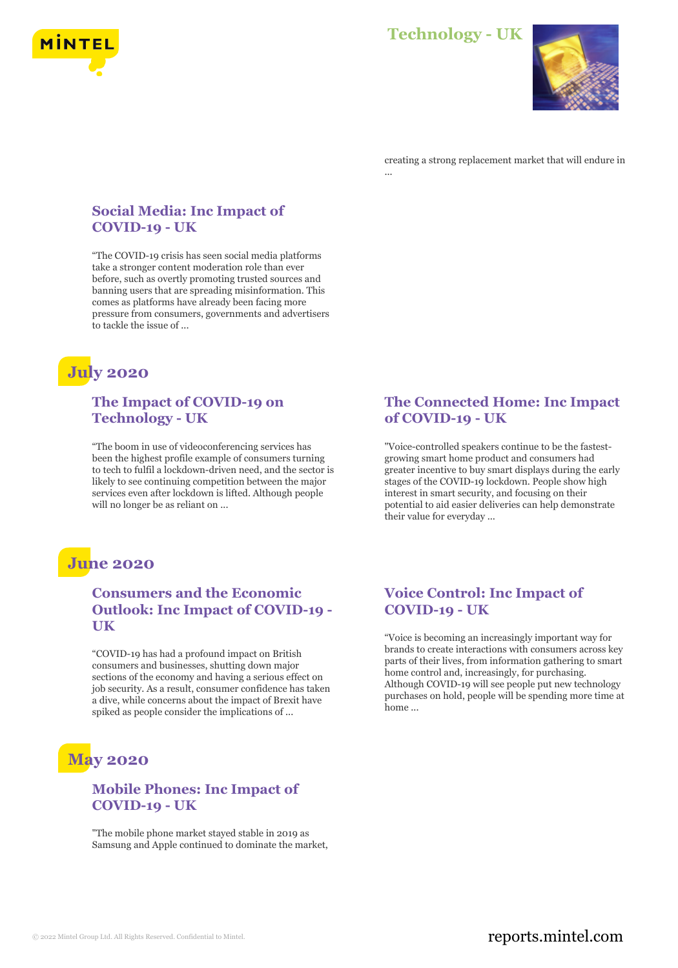



creating a strong replacement market that will endure in ...

#### **Social Media: Inc Impact of COVID-19 - UK**

"The COVID-19 crisis has seen social media platforms take a stronger content moderation role than ever before, such as overtly promoting trusted sources and banning users that are spreading misinformation. This comes as platforms have already been facing more pressure from consumers, governments and advertisers to tackle the issue of ...

## **July 2020**

#### **The Impact of COVID-19 on Technology - UK**

"The boom in use of videoconferencing services has been the highest profile example of consumers turning to tech to fulfil a lockdown-driven need, and the sector is likely to see continuing competition between the major services even after lockdown is lifted. Although people will no longer be as reliant on ...

#### **The Connected Home: Inc Impact of COVID-19 - UK**

"Voice-controlled speakers continue to be the fastestgrowing smart home product and consumers had greater incentive to buy smart displays during the early stages of the COVID-19 lockdown. People show high interest in smart security, and focusing on their potential to aid easier deliveries can help demonstrate their value for everyday ...

## **June 2020**

### **Consumers and the Economic Outlook: Inc Impact of COVID-19 - UK**

"COVID-19 has had a profound impact on British consumers and businesses, shutting down major sections of the economy and having a serious effect on job security. As a result, consumer confidence has taken a dive, while concerns about the impact of Brexit have spiked as people consider the implications of ...

# **May 2020**

#### **Mobile Phones: Inc Impact of COVID-19 - UK**

"The mobile phone market stayed stable in 2019 as Samsung and Apple continued to dominate the market,

### **Voice Control: Inc Impact of COVID-19 - UK**

"Voice is becoming an increasingly important way for brands to create interactions with consumers across key parts of their lives, from information gathering to smart home control and, increasingly, for purchasing. Although COVID-19 will see people put new technology purchases on hold, people will be spending more time at home ...